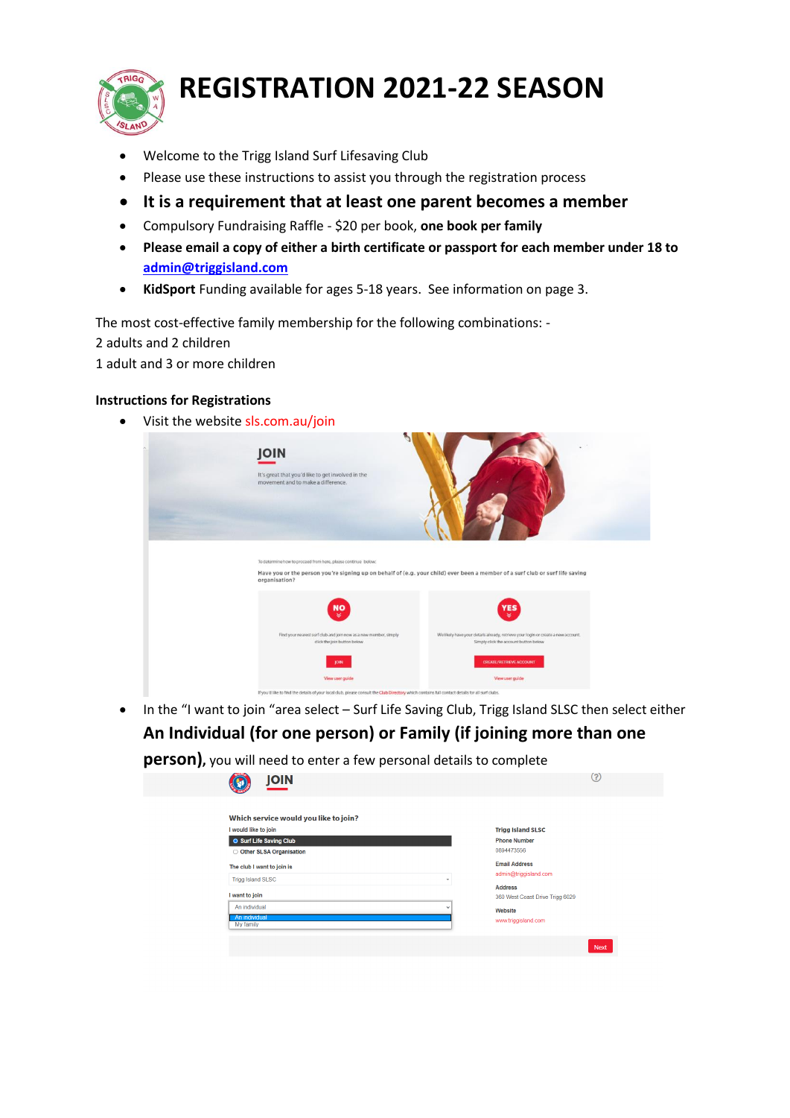

# **REGISTRATION 2021-22 SEASON**

- Welcome to the Trigg Island Surf Lifesaving Club
- Please use these instructions to assist you through the registration process
- **It is a requirement that at least one parent becomes a member**
- Compulsory Fundraising Raffle \$20 per book, **one book per family**
- **Please email a copy of either a birth certificate or passport for each member under 18 to [admin@triggisland.com](mailto:admin@triggisland.com)**
- **KidSport** Funding available for ages 5-18 years. See information on page 3.

The most cost-effective family membership for the following combinations: -

2 adults and 2 children

1 adult and 3 or more children

## **Instructions for Registrations**

• Visit the website sls.com.au/join



• In the "I want to join "area select – Surf Life Saving Club, Trigg Island SLSC then select either **An Individual (for one person) or Family (if joining more than one** 

**person),** you will need to enter a few personal details to complete

| <b>JOIN</b>                                                                                                                                                                            | (?)                                                                                                                                              |
|----------------------------------------------------------------------------------------------------------------------------------------------------------------------------------------|--------------------------------------------------------------------------------------------------------------------------------------------------|
| Which service would you like to join?<br>I would like to join<br><b>O</b> Surf Life Saving Club<br>O Other SLSA Organisation<br>The club I want to join is<br><b>Trigg Island SLSC</b> | <b>Trigg Island SLSC</b><br><b>Phone Number</b><br>0894473556<br><b>Email Address</b><br>admin@triggisland.com<br>$\mathbf{v}$<br><b>Address</b> |
| I want to join<br>An individual<br>An individual<br>My family                                                                                                                          | 360 West Coast Drive Trigg 6029<br>$\checkmark$<br>Website<br>www.triggisland.com<br><b>Next</b>                                                 |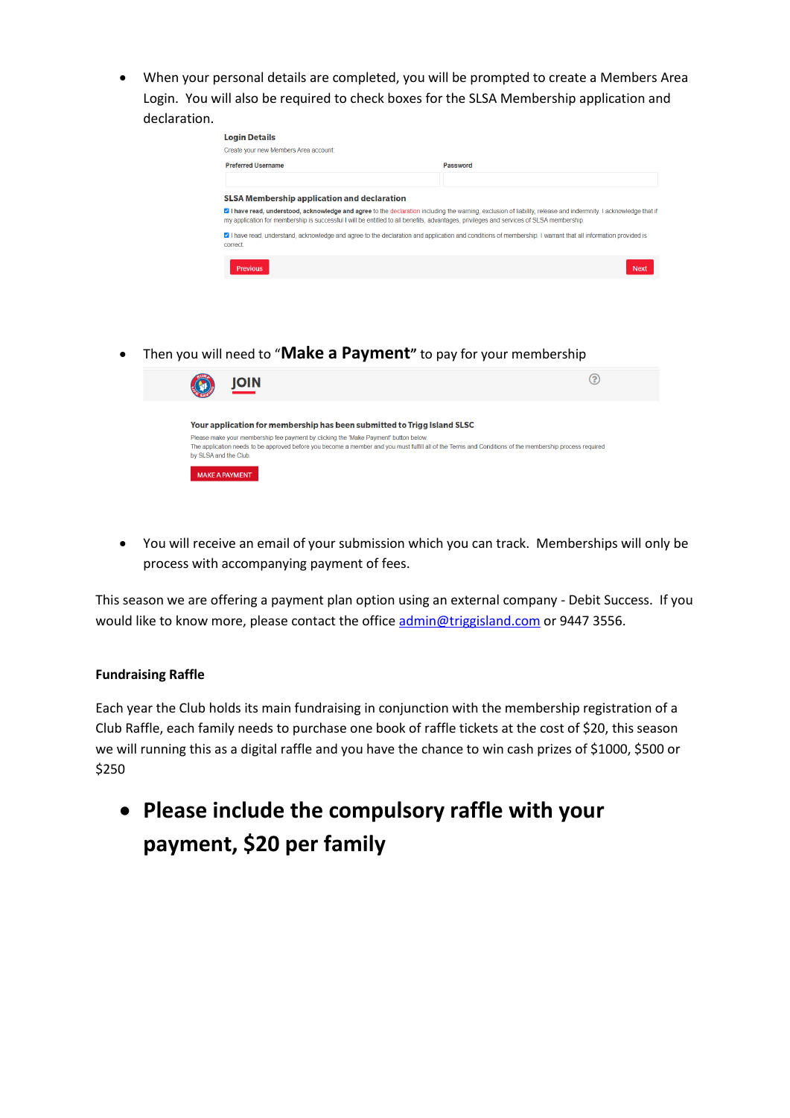• When your personal details are completed, you will be prompted to create a Members Area Login. You will also be required to check boxes for the SLSA Membership application and declaration.

| Create your new Members Area account:              |                                                                                                                                                                                                                                                                                                             |
|----------------------------------------------------|-------------------------------------------------------------------------------------------------------------------------------------------------------------------------------------------------------------------------------------------------------------------------------------------------------------|
| <b>Preferred Username</b>                          | Password                                                                                                                                                                                                                                                                                                    |
|                                                    |                                                                                                                                                                                                                                                                                                             |
| <b>SLSA Membership application and declaration</b> |                                                                                                                                                                                                                                                                                                             |
|                                                    |                                                                                                                                                                                                                                                                                                             |
|                                                    | ■ I have read, understood, acknowledge and agree to the declaration including the warning, exclusion of liability, release and indermnity. I acknowledge that if<br>my application for membership is successful I will be entitled to all benefits, advantages, privileges and services of SLSA membership. |
| correct                                            | ⊠ I have read, understand, acknowledge and agree to the declaration and application and conditions of membership. I warrant that all information provided is                                                                                                                                                |

• Then you will need to "**Make a Payment"** to pay for your membership



• You will receive an email of your submission which you can track. Memberships will only be process with accompanying payment of fees.

This season we are offering a payment plan option using an external company - Debit Success. If you would like to know more, please contact the offic[e admin@triggisland.com](mailto:admin@triggisland.com) or 9447 3556.

## **Fundraising Raffle**

Each year the Club holds its main fundraising in conjunction with the membership registration of a Club Raffle, each family needs to purchase one book of raffle tickets at the cost of \$20, this season we will running this as a digital raffle and you have the chance to win cash prizes of \$1000, \$500 or \$250

• **Please include the compulsory raffle with your payment, \$20 per family**